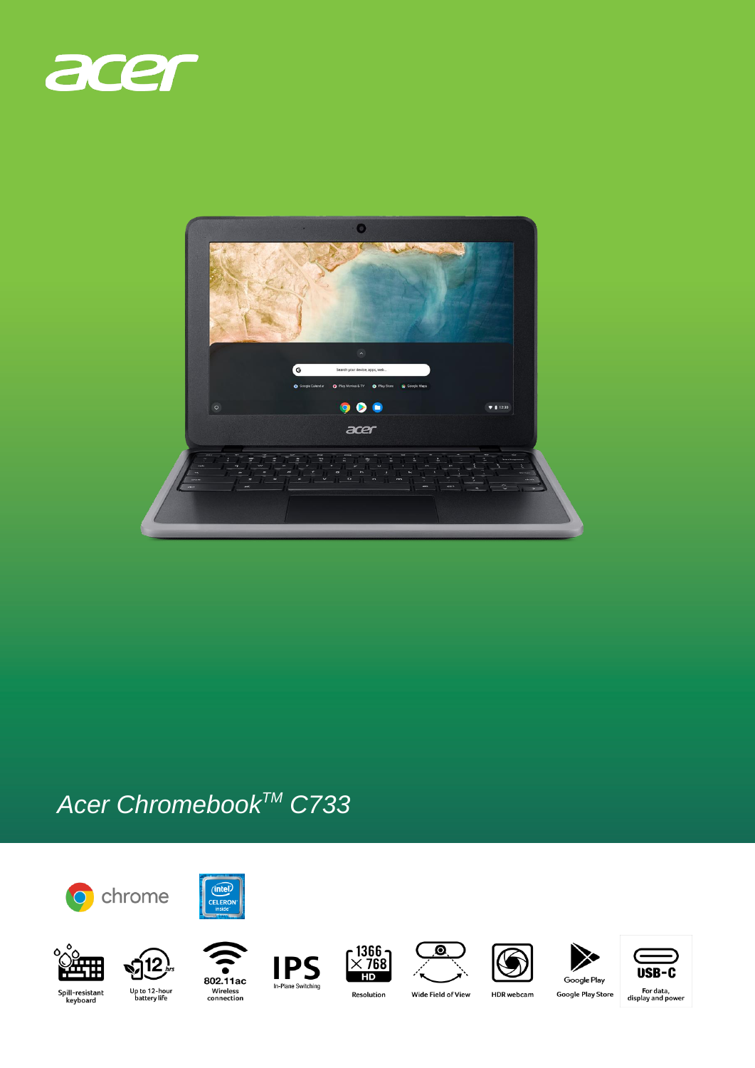



## Acer Chromebook™ C733



















 $\overline{\mathbf{O}}$ 







Spill-resistant<br>keyboard

I In-Plane Switching





**HDR** webcam

Google Play **Google Play Store** 

, For data<br>display and power